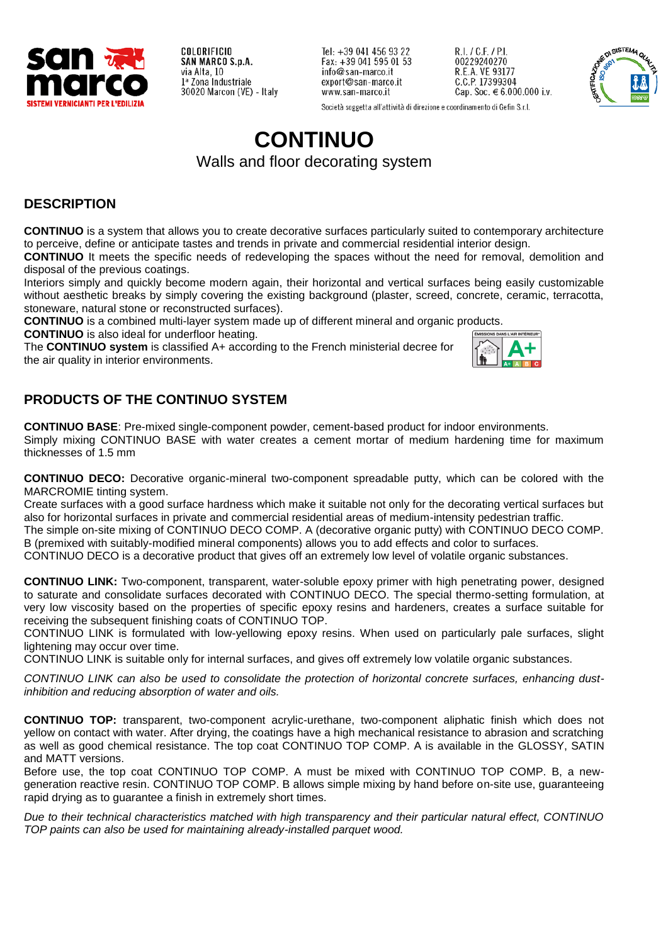

Tel: +39 041 456 93 22 Fax:  $+390415950153$ info@san-marco.it export@san-marco.it www.san-marco.it

R.I. / C.F. / P.I. 00229240270 R.E.A. VE 93177<br>C.C.P. 17399304 Cap. Soc.  $€ 6.000.000$  i.v.



Società soggetta all'attività di direzione e coordinamento di Gefin S.r.l.

# **CONTINUO**

Walls and floor decorating system

# **DESCRIPTION**

**CONTINUO** is a system that allows you to create decorative surfaces particularly suited to contemporary architecture to perceive, define or anticipate tastes and trends in private and commercial residential interior design.

**CONTINUO** It meets the specific needs of redeveloping the spaces without the need for removal, demolition and disposal of the previous coatings.

Interiors simply and quickly become modern again, their horizontal and vertical surfaces being easily customizable without aesthetic breaks by simply covering the existing background (plaster, screed, concrete, ceramic, terracotta, stoneware, natural stone or reconstructed surfaces).

**CONTINUO** is a combined multi-layer system made up of different mineral and organic products. **CONTINUO** is also ideal for underfloor heating. **ÉMISSIONS DANS L'AIR INTÉRIEUR\*** 

The **CONTINUO system** is classified A+ according to the French ministerial decree for the air quality in interior environments.



# **PRODUCTS OF THE CONTINUO SYSTEM**

**CONTINUO BASE**: Pre-mixed single-component powder, cement-based product for indoor environments. Simply mixing CONTINUO BASE with water creates a cement mortar of medium hardening time for maximum thicknesses of 1.5 mm

**CONTINUO DECO:** Decorative organic-mineral two-component spreadable putty, which can be colored with the MARCROMIE tinting system.

Create surfaces with a good surface hardness which make it suitable not only for the decorating vertical surfaces but also for horizontal surfaces in private and commercial residential areas of medium-intensity pedestrian traffic.

The simple on-site mixing of CONTINUO DECO COMP. A (decorative organic putty) with CONTINUO DECO COMP. B (premixed with suitably-modified mineral components) allows you to add effects and color to surfaces.

CONTINUO DECO is a decorative product that gives off an extremely low level of volatile organic substances.

**CONTINUO LINK:** Two-component, transparent, water-soluble epoxy primer with high penetrating power, designed to saturate and consolidate surfaces decorated with CONTINUO DECO. The special thermo-setting formulation, at very low viscosity based on the properties of specific epoxy resins and hardeners, creates a surface suitable for receiving the subsequent finishing coats of CONTINUO TOP.

CONTINUO LINK is formulated with low-yellowing epoxy resins. When used on particularly pale surfaces, slight lightening may occur over time.

CONTINUO LINK is suitable only for internal surfaces, and gives off extremely low volatile organic substances.

*CONTINUO LINK can also be used to consolidate the protection of horizontal concrete surfaces, enhancing dustinhibition and reducing absorption of water and oils.*

**CONTINUO TOP:** transparent, two-component acrylic-urethane, two-component aliphatic finish which does not yellow on contact with water. After drying, the coatings have a high mechanical resistance to abrasion and scratching as well as good chemical resistance. The top coat CONTINUO TOP COMP. A is available in the GLOSSY, SATIN and MATT versions.

Before use, the top coat CONTINUO TOP COMP. A must be mixed with CONTINUO TOP COMP. B, a newgeneration reactive resin. CONTINUO TOP COMP. B allows simple mixing by hand before on-site use, guaranteeing rapid drying as to guarantee a finish in extremely short times.

*Due to their technical characteristics matched with high transparency and their particular natural effect, CONTINUO TOP paints can also be used for maintaining already-installed parquet wood.*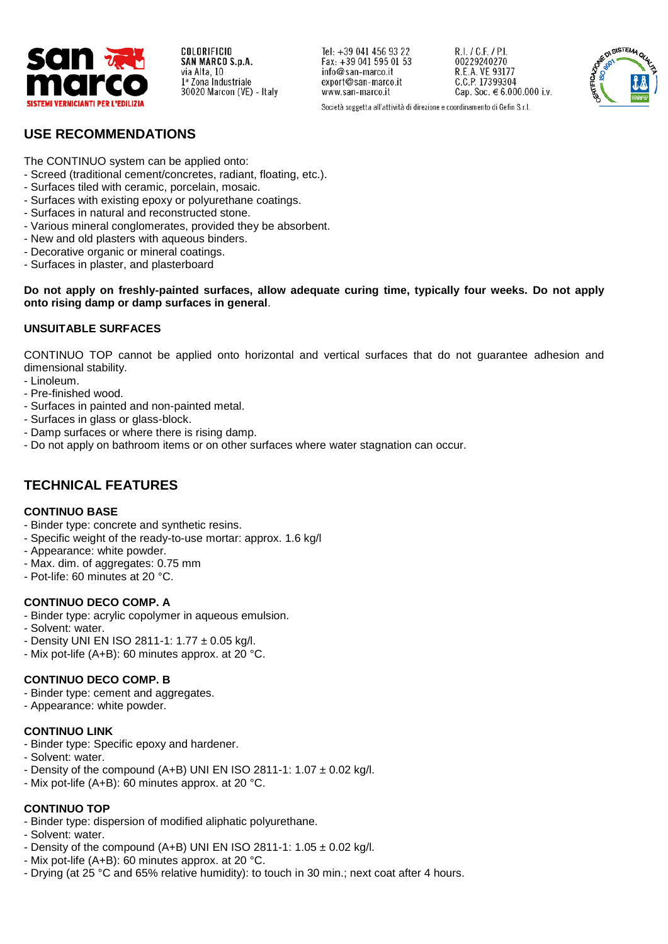

Tel: +39 041 456 93 22 Fax: +39 041 595 01 53 info@san-marco.it export@san-marco.it www.san-marco.it

R.I. / C.F. / P.I. 00229240270 R.E.A. VE 93177<br>C.C.P. 17399304 Cap. Soc. € 6.000.000 i.v.



Società soggetta all'attività di direzione e coordinamento di Gefin S.r.l.

## **USE RECOMMENDATIONS**

The CONTINUO system can be applied onto:

- Screed (traditional cement/concretes, radiant, floating, etc.).
- Surfaces tiled with ceramic, porcelain, mosaic.
- Surfaces with existing epoxy or polyurethane coatings.
- Surfaces in natural and reconstructed stone.
- Various mineral conglomerates, provided they be absorbent.
- New and old plasters with aqueous binders.
- Decorative organic or mineral coatings.
- Surfaces in plaster, and plasterboard

**Do not apply on freshly-painted surfaces, allow adequate curing time, typically four weeks. Do not apply onto rising damp or damp surfaces in general**.

#### **UNSUITABLE SURFACES**

CONTINUO TOP cannot be applied onto horizontal and vertical surfaces that do not guarantee adhesion and dimensional stability.

- Linoleum.
- Pre-finished wood.
- Surfaces in painted and non-painted metal.
- Surfaces in glass or glass-block.
- Damp surfaces or where there is rising damp.
- Do not apply on bathroom items or on other surfaces where water stagnation can occur.

## **TECHNICAL FEATURES**

#### **CONTINUO BASE**

- Binder type: concrete and synthetic resins.
- Specific weight of the ready-to-use mortar: approx. 1.6 kg/l
- Appearance: white powder.
- Max. dim. of aggregates: 0.75 mm
- Pot-life: 60 minutes at 20 °C.

#### **CONTINUO DECO COMP. A**

- Binder type: acrylic copolymer in aqueous emulsion.
- Solvent: water.
- Density UNI EN ISO 2811-1: 1.77 ± 0.05 kg/l.
- Mix pot-life (A+B): 60 minutes approx. at 20 °C.

#### **CONTINUO DECO COMP. B**

- Binder type: cement and aggregates.
- Appearance: white powder.

#### **CONTINUO LINK**

- Binder type: Specific epoxy and hardener.
- Solvent: water.
- Density of the compound (A+B) UNI EN ISO 2811-1:  $1.07 \pm 0.02$  kg/l.
- Mix pot-life (A+B): 60 minutes approx. at 20 °C.

## **CONTINUO TOP**

- Binder type: dispersion of modified aliphatic polyurethane.
- Solvent: water.
- Density of the compound (A+B) UNI EN ISO 2811-1:  $1.05 \pm 0.02$  kg/l.
- Mix pot-life (A+B): 60 minutes approx. at 20 °C.
- Drying (at 25 °C and 65% relative humidity): to touch in 30 min.; next coat after 4 hours.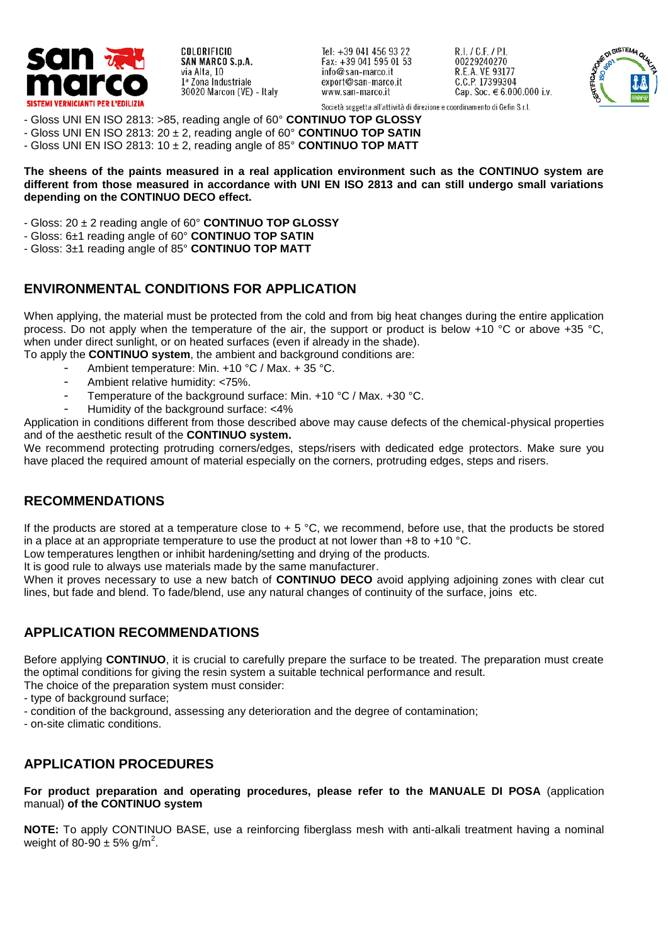

Tel: +39 041 456 93 22 Fax: +39 041 595 01 53 info@san-marco.it export@san-marco.it www.san-marco.it

R.I. / C.F. / P.I. 00229240270 R.E.A. VE 93177<br>C.C.P. 17399304 Cap. Soc.  $€ 6.000.000$  i.v.



Società soggetta all'attività di direzione e coordinamento di Gefin S.r.l.

- Gloss UNI EN ISO 2813: >85, reading angle of 60° **CONTINUO TOP GLOSSY**
- Gloss UNI EN ISO 2813: 20 ± 2, reading angle of 60° **CONTINUO TOP SATIN**
- Gloss UNI EN ISO 2813: 10 ± 2, reading angle of 85° **CONTINUO TOP MATT**

**The sheens of the paints measured in a real application environment such as the CONTINUO system are different from those measured in accordance with UNI EN ISO 2813 and can still undergo small variations depending on the CONTINUO DECO effect.** 

- Gloss: 20 ± 2 reading angle of 60° **CONTINUO TOP GLOSSY**
- Gloss: 6±1 reading angle of 60° **CONTINUO TOP SATIN**
- Gloss: 3±1 reading angle of 85° **CONTINUO TOP MATT**

## **ENVIRONMENTAL CONDITIONS FOR APPLICATION**

When applying, the material must be protected from the cold and from big heat changes during the entire application process. Do not apply when the temperature of the air, the support or product is below +10 °C or above +35 °C, when under direct sunlight, or on heated surfaces (even if already in the shade).

To apply the **CONTINUO system**, the ambient and background conditions are:

- Ambient temperature: Min. +10 °C / Max. + 35 °C.
- Ambient relative humidity: <75%.
- Temperature of the background surface: Min.  $+10 \degree C$  / Max.  $+30 \degree C$ .
- Humidity of the background surface: <4%

Application in conditions different from those described above may cause defects of the chemical-physical properties and of the aesthetic result of the **CONTINUO system.**

We recommend protecting protruding corners/edges, steps/risers with dedicated edge protectors. Make sure you have placed the required amount of material especially on the corners, protruding edges, steps and risers.

## **RECOMMENDATIONS**

If the products are stored at a temperature close to  $+5$  °C, we recommend, before use, that the products be stored in a place at an appropriate temperature to use the product at not lower than  $+8$  to  $+10$  °C.

Low temperatures lengthen or inhibit hardening/setting and drying of the products.

It is good rule to always use materials made by the same manufacturer.

When it proves necessary to use a new batch of **CONTINUO DECO** avoid applying adjoining zones with clear cut lines, but fade and blend. To fade/blend, use any natural changes of continuity of the surface, joins etc.

### **APPLICATION RECOMMENDATIONS**

Before applying **CONTINUO**, it is crucial to carefully prepare the surface to be treated. The preparation must create the optimal conditions for giving the resin system a suitable technical performance and result.

The choice of the preparation system must consider:

- type of background surface;
- condition of the background, assessing any deterioration and the degree of contamination;
- on-site climatic conditions.

## **APPLICATION PROCEDURES**

**For product preparation and operating procedures, please refer to the MANUALE DI POSA** (application manual) **of the CONTINUO system**

**NOTE:** To apply CONTINUO BASE, use a reinforcing fiberglass mesh with anti-alkali treatment having a nominal weight of 80-90  $\pm$  5% g/m<sup>2</sup>.